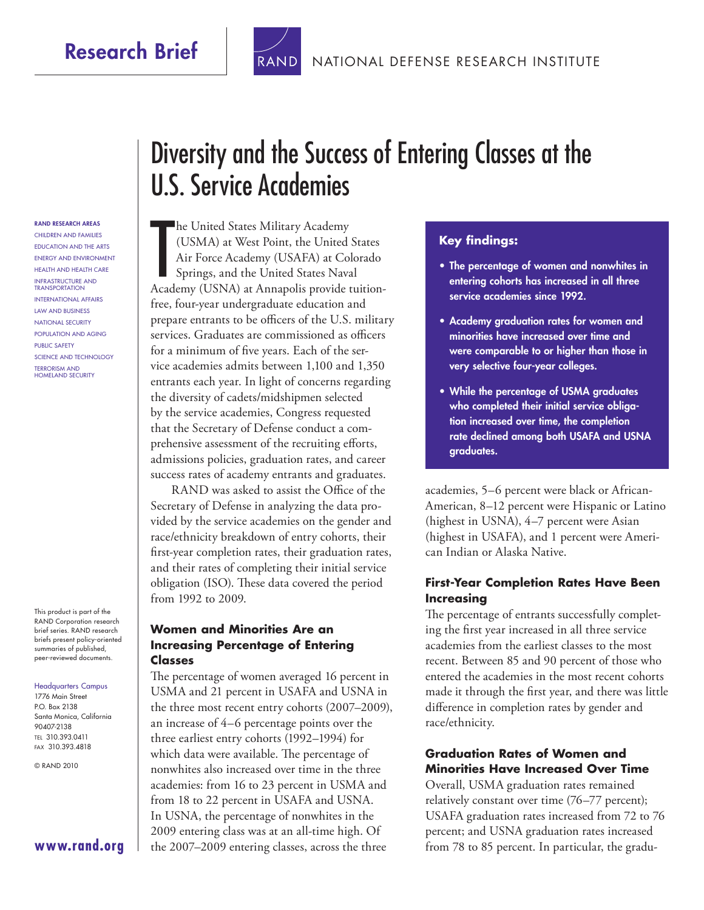

#### RAND RESEARCH AREAS

Children and Families Education and the Arts Energy and Environment Health and Health Care Infrastructure and Transportation International Affairs Law and Business National Security Population and Aging Public Safety Science and Technology Terrorism and Homeland Security

This product is part of the RAND Corporation research brief series. RAND research briefs present policy-oriented summaries of published, peer-reviewed documents.

#### Headquarters Campus 1776 Main Street P.O. Box 2138

Santa Monica, California 90407-2138 Tel 310.393.0411 Fax 310.393.4818

© RAND 2010

# Diversity and the Success of Entering Classes at the U.S. Service Academies

he United States Military Academy<br>
(USMA) at West Point, the United States<br>
Air Force Academy (USAFA) at Colorado<br>
Springs, and the United States Naval<br>
Academy (USNA) at Annapolis provide tuition-**The United States Military Academy** (USMA) at West Point, the United States Air Force Academy (USAFA) at Colorado Springs, and the United States Naval free, four-year undergraduate education and prepare entrants to be officers of the U.S. military services. Graduates are commissioned as officers for a minimum of five years. Each of the service academies admits between 1,100 and 1,350 entrants each year. In light of concerns regarding the diversity of cadets/midshipmen selected by the service academies, Congress requested that the Secretary of Defense conduct a comprehensive assessment of the recruiting efforts, admissions policies, graduation rates, and career success rates of academy entrants and graduates.

RAND was asked to assist the Office of the Secretary of Defense in analyzing the data provided by the service academies on the gender and race/ethnicity breakdown of entry cohorts, their first-year completion rates, their graduation rates, and their rates of completing their initial service obligation (ISO). These data covered the period from 1992 to 2009.

### **Women and Minorities Are an Increasing Percentage of Entering Classes**

The percentage of women averaged 16 percent in USMA and 21 percent in USAFA and USNA in the three most recent entry cohorts (2007–2009), an increase of 4–6 percentage points over the three earliest entry cohorts (1992–1994) for which data were available. The percentage of nonwhites also increased over time in the three academies: from 16 to 23 percent in USMA and from 18 to 22 percent in USAFA and USNA. In USNA, the percentage of nonwhites in the 2009 entering class was at an all-time high. Of the 2007–2009 entering classes, across the three

#### **Key findings:**

- The percentage of women and nonwhites in entering cohorts has increased in all three service academies since 1992.
- Academy graduation rates for women and minorities have increased over time and were comparable to or higher than those in very selective four-year colleges.
- While the percentage of USMA graduates who completed their initial service obligation increased over time, the completion rate declined among both USAFA and USNA graduates.

academies, 5–6 percent were black or African-American, 8–12 percent were Hispanic or Latino (highest in USNA), 4–7 percent were Asian (highest in USAFA), and 1 percent were American Indian or Alaska Native.

#### **First-Year Completion Rates Have Been Increasing**

The percentage of entrants successfully completing the first year increased in all three service academies from the earliest classes to the most recent. Between 85 and 90 percent of those who entered the academies in the most recent cohorts made it through the first year, and there was little difference in completion rates by gender and race/ethnicity.

#### **Graduation Rates of Women and Minorities Have Increased Over Time**

Overall, USMA graduation rates remained relatively constant over time (76–77 percent); USAFA graduation rates increased from 72 to 76 percent; and USNA graduation rates increased from 78 to 85 percent. In particular, the gradu-

**[www.rand.org](http://www.rand.org)**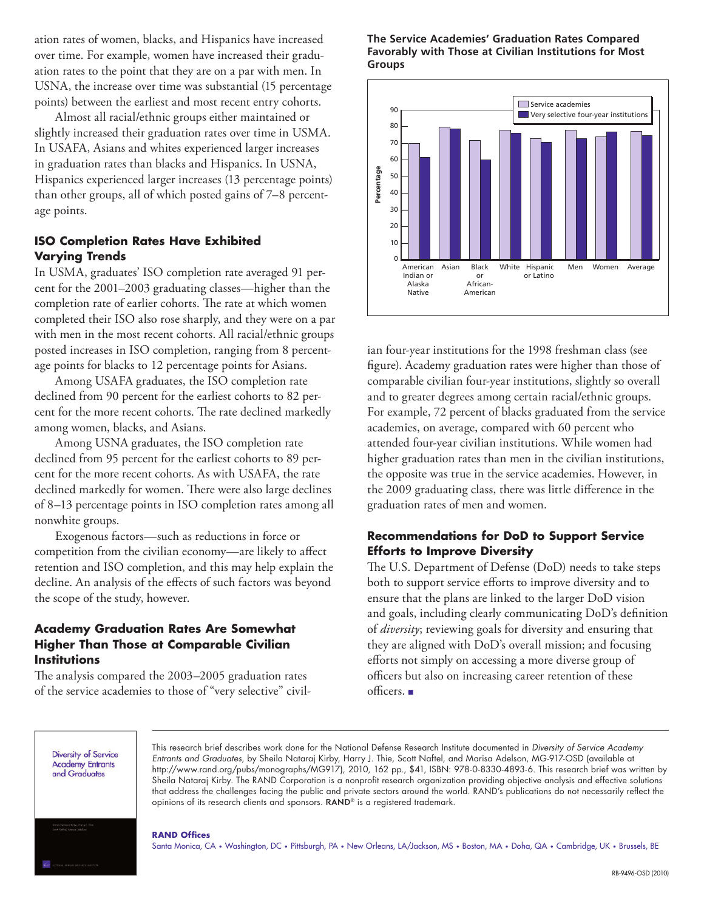ation rates of women, blacks, and Hispanics have increased over time. For example, women have increased their graduation rates to the point that they are on a par with men. In USNA, the increase over time was substantial (15 percentage points) between the earliest and most recent entry cohorts.

Almost all racial/ethnic groups either maintained or slightly increased their graduation rates over time in USMA. In USAFA, Asians and whites experienced larger increases in graduation rates than blacks and Hispanics. In USNA, Hispanics experienced larger increases (13 percentage points) than other groups, all of which posted gains of 7–8 percentage points.

#### **ISO Completion Rates Have Exhibited Varying Trends**

In USMA, graduates' ISO completion rate averaged 91 percent for the 2001–2003 graduating classes—higher than the completion rate of earlier cohorts. The rate at which women completed their ISO also rose sharply, and they were on a par with men in the most recent cohorts. All racial/ethnic groups posted increases in ISO completion, ranging from 8 percentage points for blacks to 12 percentage points for Asians.

Among USAFA graduates, the ISO completion rate declined from 90 percent for the earliest cohorts to 82 percent for the more recent cohorts. The rate declined markedly among women, blacks, and Asians.

Among USNA graduates, the ISO completion rate declined from 95 percent for the earliest cohorts to 89 percent for the more recent cohorts. As with USAFA, the rate declined markedly for women. There were also large declines of 8–13 percentage points in ISO completion rates among all nonwhite groups.

Exogenous factors—such as reductions in force or competition from the civilian economy—are likely to affect retention and ISO completion, and this may help explain the decline. An analysis of the effects of such factors was beyond the scope of the study, however.

#### **Academy Graduation Rates Are Somewhat Higher Than Those at Comparable Civilian Institutions**

The analysis compared the 2003–2005 graduation rates of the service academies to those of "very selective" civil-

#### **The Service Academies' Graduation Rates Compared Favorably with Those at Civilian Institutions for Most Groups**



ian four-year institutions for the 1998 freshman class (see figure). Academy graduation rates were higher than those of comparable civilian four-year institutions, slightly so overall and to greater degrees among certain racial/ethnic groups. For example, 72 percent of blacks graduated from the service academies, on average, compared with 60 percent who attended four-year civilian institutions. While women had higher graduation rates than men in the civilian institutions, the opposite was true in the service academies. However, in the 2009 graduating class, there was little difference in the graduation rates of men and women. reger increases (1.5 percentage points)<br>
Santa Monica, Cambridge, CA + Regering the cambridge of the state of the state of the state of the state of the state of the state of the state of the state of the state of the stat

### **Recommendations for DoD to Support Service Efforts to Improve Diversity**

The U.S. Department of Defense (DoD) needs to take steps both to support service efforts to improve diversity and to ensure that the plans are linked to the larger DoD vision and goals, including clearly communicating DoD's definition of *diversity*; reviewing goals for diversity and ensuring that they are aligned with DoD's overall mission; and focusing efforts not simply on accessing a more diverse group of officers but also on increasing career retention of these officers. ■

**Diversity of Service Academy Entrants** and Graduates

This research brief describes work done for the National Defense Research Institute documented in *Diversity of Service Academy Entrants and Graduates*, by Sheila Nataraj Kirby, Harry J. Thie, Scott Naftel, and Marisa Adelson, MG-917-OSD (available at [http://www.rand.org/pubs/monographs/MG917\)](http://www.rand.org/pubs/monographs/MG917), 2010, 162 pp., \$41, ISBN: 978-0-8330-4893-6. This research brief was written by Sheila Nataraj Kirby. The RAND Corporation is a nonprofit research organization providing objective analysis and effective solutions that address the challenges facing the public and private sectors around the world. RAND's publications do not necessarily reflect the opinions of its research clients and sponsors. RAND® is a registered trademark.

#### **RAND Offices**